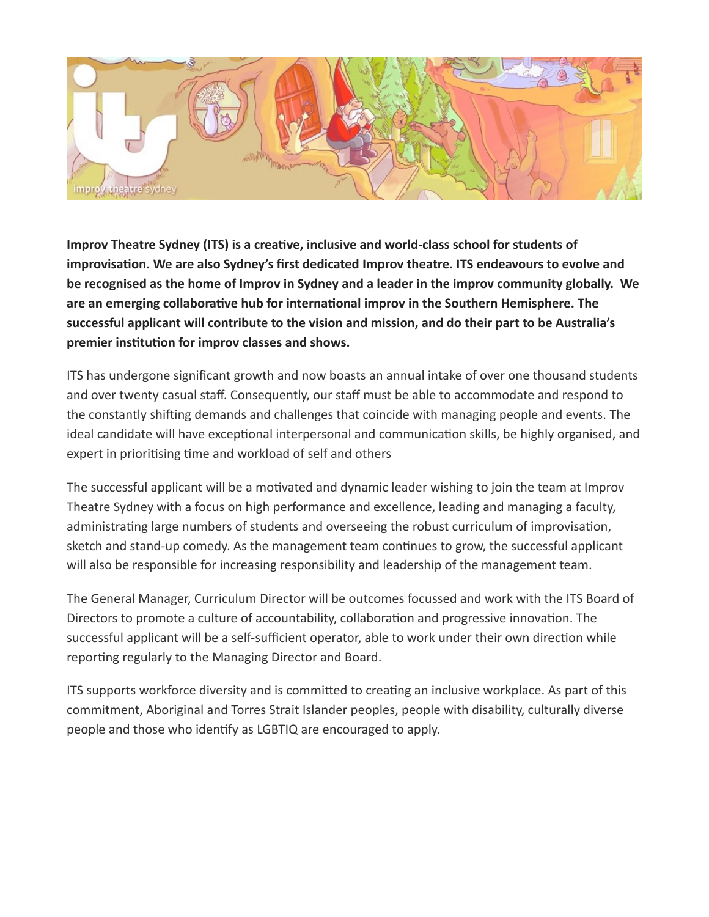

**Improv Theatre Sydney (ITS) is a creative, inclusive and world-class school for students of improvisation. We are also Sydney's first dedicated Improv theatre. ITS endeavours to evolve and be recognised as the home of Improv in Sydney and a leader in the improv community globally. We are an emerging collaborative hub for international improv in the Southern Hemisphere. The successful applicant will contribute to the vision and mission, and do their part to be Australia's premier institution for improv classes and shows.**

ITS has undergone significant growth and now boasts an annual intake of over one thousand students and over twenty casual staff. Consequently, our staff must be able to accommodate and respond to the constantly shifting demands and challenges that coincide with managing people and events. The ideal candidate will have exceptional interpersonal and communication skills, be highly organised, and expert in prioritising time and workload of self and others

The successful applicant will be a motivated and dynamic leader wishing to join the team at Improv Theatre Sydney with a focus on high performance and excellence, leading and managing a faculty, administrating large numbers of students and overseeing the robust curriculum of improvisation, sketch and stand-up comedy. As the management team continues to grow, the successful applicant will also be responsible for increasing responsibility and leadership of the management team.

The General Manager, Curriculum Director will be outcomes focussed and work with the ITS Board of Directors to promote a culture of accountability, collaboration and progressive innovation. The successful applicant will be a self-sufficient operator, able to work under their own direction while reporting regularly to the Managing Director and Board.

ITS supports workforce diversity and is committed to creating an inclusive workplace. As part of this commitment, Aboriginal and Torres Strait Islander peoples, people with disability, culturally diverse people and those who identify as LGBTIQ are encouraged to apply.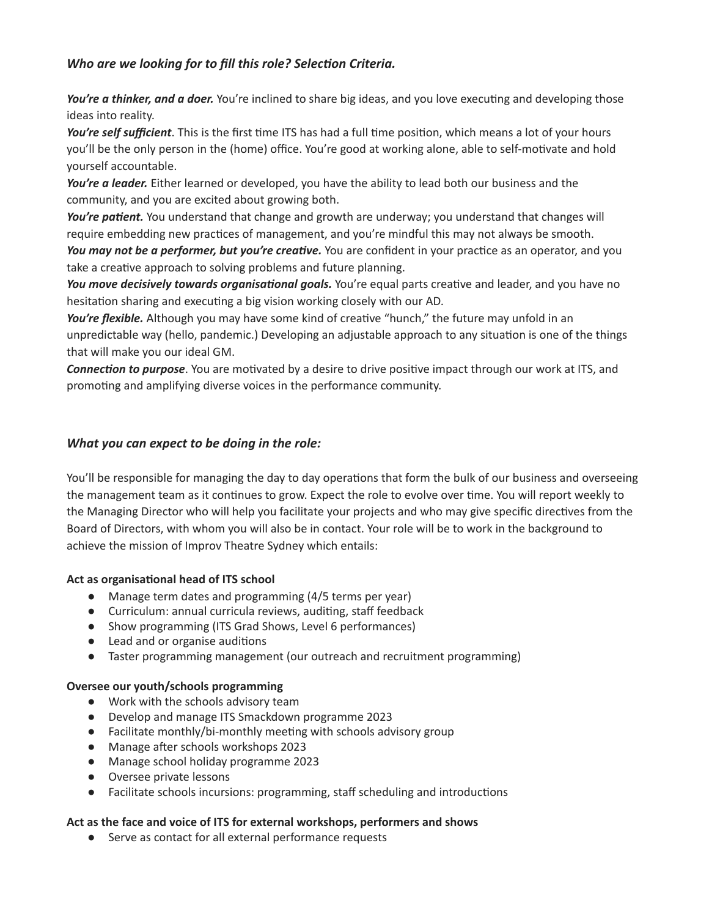# *Who are we looking for to fill this role? Selection Criteria.*

*You're a thinker, and a doer.* You're inclined to share big ideas, and you love executing and developing those ideas into reality.

*You're self sufficient*. This is the first time ITS has had a full time position, which means a lot of your hours you'll be the only person in the (home) office. You're good at working alone, able to self-motivate and hold yourself accountable.

*You're a leader.* Either learned or developed, you have the ability to lead both our business and the community, and you are excited about growing both.

*You're patient.* You understand that change and growth are underway; you understand that changes will require embedding new practices of management, and you're mindful this may not always be smooth.

*You may not be a performer, but you're creative.* You are confident in your practice as an operator, and you take a creative approach to solving problems and future planning.

*You move decisively towards organisational goals.* You're equal parts creative and leader, and you have no hesitation sharing and executing a big vision working closely with our AD.

You're flexible. Although you may have some kind of creative "hunch," the future may unfold in an unpredictable way (hello, pandemic.) Developing an adjustable approach to any situation is one of the things that will make you our ideal GM.

*Connection to purpose*. You are motivated by a desire to drive positive impact through our work at ITS, and promoting and amplifying diverse voices in the performance community.

# *What you can expect to be doing in the role:*

You'll be responsible for managing the day to day operations that form the bulk of our business and overseeing the management team as it continues to grow. Expect the role to evolve over time. You will report weekly to the Managing Director who will help you facilitate your projects and who may give specific directives from the Board of Directors, with whom you will also be in contact. Your role will be to work in the background to achieve the mission of Improv Theatre Sydney which entails:

## **Act as organisational head of ITS school**

- Manage term dates and programming (4/5 terms per year)
- Curriculum: annual curricula reviews, auditing, staff feedback
- Show programming (ITS Grad Shows, Level 6 performances)
- Lead and or organise auditions
- Taster programming management (our outreach and recruitment programming)

#### **Oversee our youth/schools programming**

- Work with the schools advisory team
- Develop and manage ITS Smackdown programme 2023
- Facilitate monthly/bi-monthly meeting with schools advisory group
- Manage after schools workshops 2023
- Manage school holiday programme 2023
- Oversee private lessons
- Facilitate schools incursions: programming, staff scheduling and introductions

#### **Act as the face and voice of ITS for external workshops, performers and shows**

● Serve as contact for all external performance requests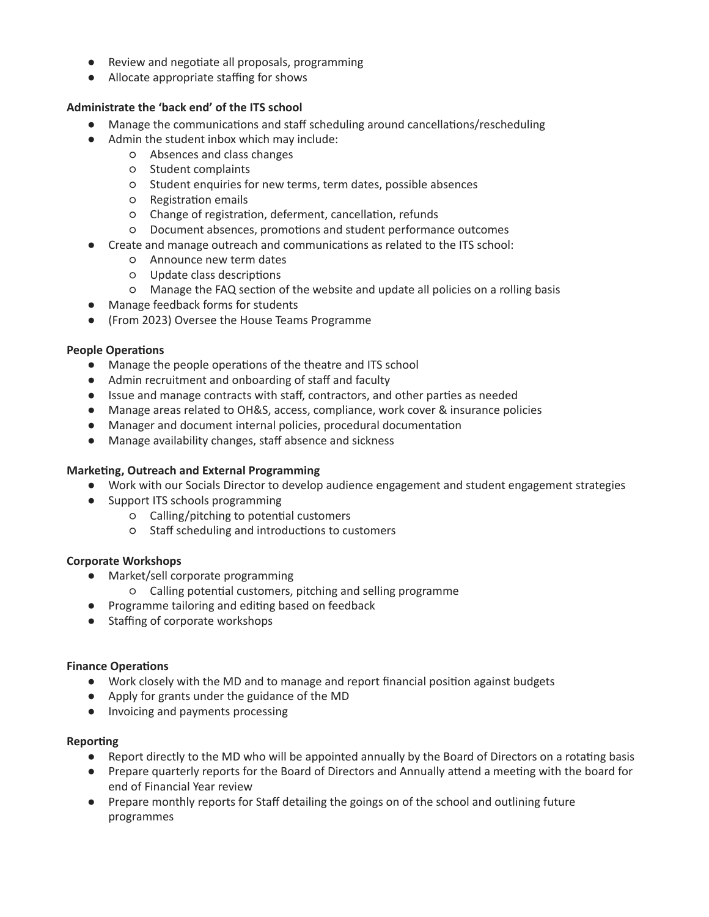- Review and negotiate all proposals, programming
- Allocate appropriate staffing for shows

#### **Administrate the 'back end' of the ITS school**

- Manage the communications and staff scheduling around cancellations/rescheduling
- Admin the student inbox which may include:
	- Absences and class changes
	- Student complaints
	- Student enquiries for new terms, term dates, possible absences
	- Registration emails
	- Change of registration, deferment, cancellation, refunds
	- Document absences, promotions and student performance outcomes
- Create and manage outreach and communications as related to the ITS school:
	- Announce new term dates
	- Update class descriptions
	- Manage the FAQ section of the website and update all policies on a rolling basis
- Manage feedback forms for students
- (From 2023) Oversee the House Teams Programme

#### **People Operations**

- Manage the people operations of the theatre and ITS school
- Admin recruitment and onboarding of staff and faculty
- Issue and manage contracts with staff, contractors, and other parties as needed
- Manage areas related to OH&S, access, compliance, work cover & insurance policies
- Manager and document internal policies, procedural documentation
- Manage availability changes, staff absence and sickness

#### **Marketing, Outreach and External Programming**

- Work with our Socials Director to develop audience engagement and student engagement strategies
- Support ITS schools programming
	- Calling/pitching to potential customers
	- Staff scheduling and introductions to customers

#### **Corporate Workshops**

- Market/sell corporate programming
	- Calling potential customers, pitching and selling programme
- Programme tailoring and editing based on feedback
- Staffing of corporate workshops

#### **Finance Operations**

- Work closely with the MD and to manage and report financial position against budgets
- Apply for grants under the guidance of the MD
- Invoicing and payments processing

#### **Reporting**

- Report directly to the MD who will be appointed annually by the Board of Directors on a rotating basis
- Prepare quarterly reports for the Board of Directors and Annually attend a meeting with the board for end of Financial Year review
- Prepare monthly reports for Staff detailing the goings on of the school and outlining future programmes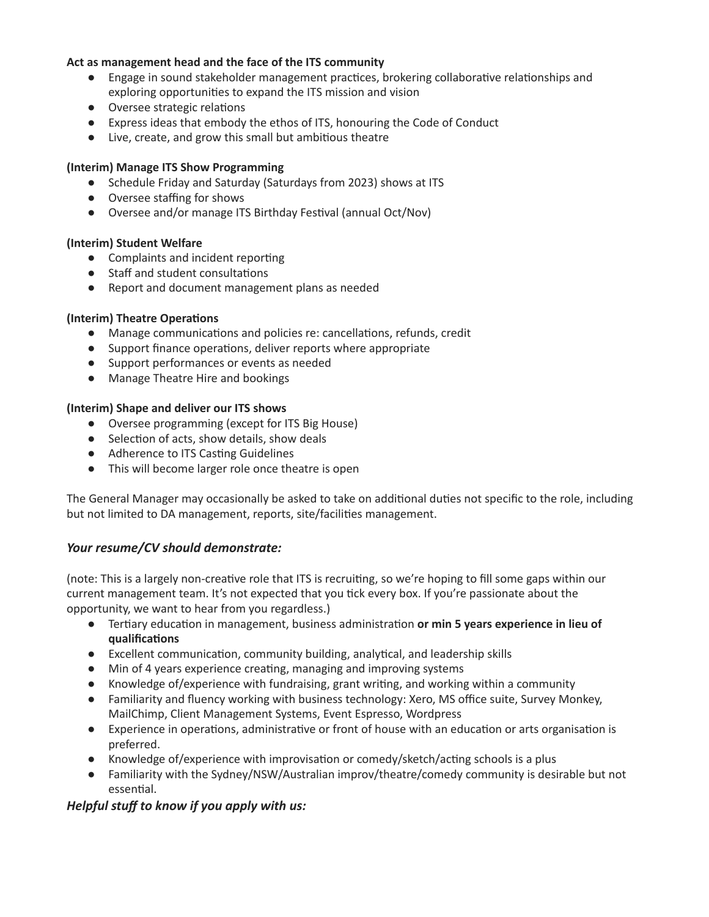#### **Act as management head and the face of the ITS community**

- Engage in sound stakeholder management practices, brokering collaborative relationships and exploring opportunities to expand the ITS mission and vision
- Oversee strategic relations
- Express ideas that embody the ethos of ITS, honouring the Code of Conduct
- Live, create, and grow this small but ambitious theatre

#### **(Interim) Manage ITS Show Programming**

- Schedule Friday and Saturday (Saturdays from 2023) shows at ITS
- Oversee staffing for shows
- Oversee and/or manage ITS Birthday Festival (annual Oct/Nov)

### **(Interim) Student Welfare**

- Complaints and incident reporting
- Staff and student consultations
- Report and document management plans as needed

### **(Interim) Theatre Operations**

- Manage communications and policies re: cancellations, refunds, credit
- Support finance operations, deliver reports where appropriate
- Support performances or events as needed
- Manage Theatre Hire and bookings

#### **(Interim) Shape and deliver our ITS shows**

- Oversee programming (except for ITS Big House)
- Selection of acts, show details, show deals
- Adherence to ITS Casting Guidelines
- This will become larger role once theatre is open

The General Manager may occasionally be asked to take on additional duties not specific to the role, including but not limited to DA management, reports, site/facilities management.

## *Your resume/CV should demonstrate:*

(note: This is a largely non-creative role that ITS is recruiting, so we're hoping to fill some gaps within our current management team. It's not expected that you tick every box. If you're passionate about the opportunity, we want to hear from you regardless.)

- Tertiary education in management, business administration **or min 5 years experience in lieu of qualifications**
- Excellent communication, community building, analytical, and leadership skills
- Min of 4 years experience creating, managing and improving systems
- Knowledge of/experience with fundraising, grant writing, and working within a community
- Familiarity and fluency working with business technology: Xero, MS office suite, Survey Monkey, MailChimp, Client Management Systems, Event Espresso, Wordpress
- Experience in operations, administrative or front of house with an education or arts organisation is preferred.
- Knowledge of/experience with improvisation or comedy/sketch/acting schools is a plus
- Familiarity with the Sydney/NSW/Australian improv/theatre/comedy community is desirable but not essential.

## *Helpful stuff to know if you apply with us:*